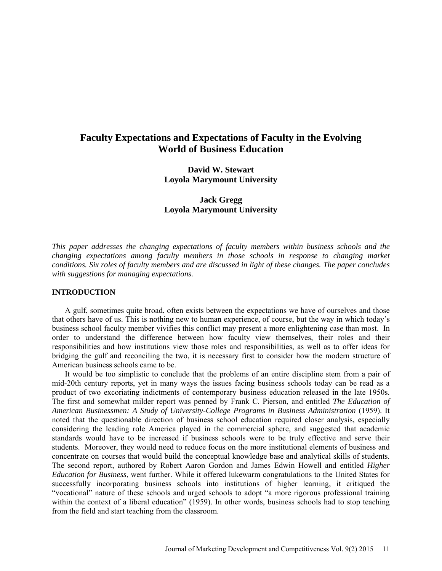# **Faculty Expectations and Expectations of Faculty in the Evolving World of Business Education**

**David W. Stewart Loyola Marymount University** 

**Jack Gregg Loyola Marymount University**

*This paper addresses the changing expectations of faculty members within business schools and the changing expectations among faculty members in those schools in response to changing market conditions. Six roles of faculty members and are discussed in light of these changes. The paper concludes with suggestions for managing expectations.*

# **INTRODUCTION**

A gulf, sometimes quite broad, often exists between the expectations we have of ourselves and those that others have of us. This is nothing new to human experience, of course, but the way in which today's business school faculty member vivifies this conflict may present a more enlightening case than most. In order to understand the difference between how faculty view themselves, their roles and their responsibilities and how institutions view those roles and responsibilities, as well as to offer ideas for bridging the gulf and reconciling the two, it is necessary first to consider how the modern structure of American business schools came to be.

It would be too simplistic to conclude that the problems of an entire discipline stem from a pair of mid-20th century reports, yet in many ways the issues facing business schools today can be read as a product of two excoriating indictments of contemporary business education released in the late 1950s. The first and somewhat milder report was penned by Frank C. Pierson, and entitled *The Education of American Businessmen: A Study of University-College Programs in Business Administration* (1959). It noted that the questionable direction of business school education required closer analysis, especially considering the leading role America played in the commercial sphere, and suggested that academic standards would have to be increased if business schools were to be truly effective and serve their students. Moreover, they would need to reduce focus on the more institutional elements of business and concentrate on courses that would build the conceptual knowledge base and analytical skills of students. The second report, authored by Robert Aaron Gordon and James Edwin Howell and entitled *Higher Education for Business*, went further. While it offered lukewarm congratulations to the United States for successfully incorporating business schools into institutions of higher learning, it critiqued the "vocational" nature of these schools and urged schools to adopt "a more rigorous professional training within the context of a liberal education" (1959). In other words, business schools had to stop teaching from the field and start teaching from the classroom.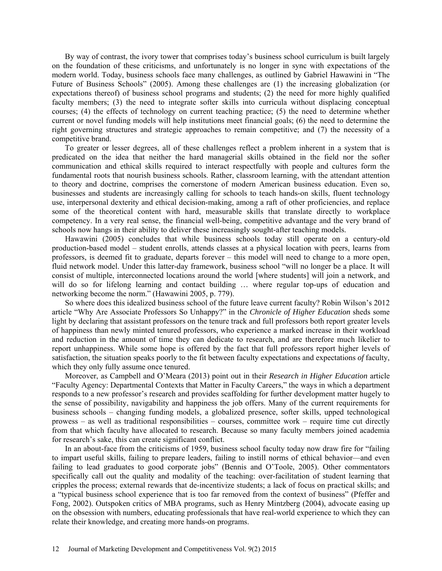By way of contrast, the ivory tower that comprises today's business school curriculum is built largely on the foundation of these criticisms, and unfortunately is no longer in sync with expectations of the modern world. Today, business schools face many challenges, as outlined by Gabriel Hawawini in "The Future of Business Schools" (2005). Among these challenges are (1) the increasing globalization (or expectations thereof) of business school programs and students; (2) the need for more highly qualified faculty members; (3) the need to integrate softer skills into curricula without displacing conceptual courses; (4) the effects of technology on current teaching practice; (5) the need to determine whether current or novel funding models will help institutions meet financial goals; (6) the need to determine the right governing structures and strategic approaches to remain competitive; and (7) the necessity of a competitive brand.

To greater or lesser degrees, all of these challenges reflect a problem inherent in a system that is predicated on the idea that neither the hard managerial skills obtained in the field nor the softer communication and ethical skills required to interact respectfully with people and cultures form the fundamental roots that nourish business schools. Rather, classroom learning, with the attendant attention to theory and doctrine, comprises the cornerstone of modern American business education. Even so, businesses and students are increasingly calling for schools to teach hands-on skills, fluent technology use, interpersonal dexterity and ethical decision-making, among a raft of other proficiencies, and replace some of the theoretical content with hard, measurable skills that translate directly to workplace competency. In a very real sense, the financial well-being, competitive advantage and the very brand of schools now hangs in their ability to deliver these increasingly sought-after teaching models.

Hawawini (2005) concludes that while business schools today still operate on a century-old production-based model – student enrolls, attends classes at a physical location with peers, learns from professors, is deemed fit to graduate, departs forever – this model will need to change to a more open, fluid network model. Under this latter-day framework, business school "will no longer be a place. It will consist of multiple, interconnected locations around the world [where students] will join a network, and will do so for lifelong learning and contact building ... where regular top-ups of education and networking become the norm." (Hawawini 2005, p. 779).

So where does this idealized business school of the future leave current faculty? Robin Wilson's 2012 article "Why Are Associate Professors So Unhappy?" in the *Chronicle of Higher Education* sheds some light by declaring that assistant professors on the tenure track and full professors both report greater levels of happiness than newly minted tenured professors, who experience a marked increase in their workload and reduction in the amount of time they can dedicate to research, and are therefore much likelier to report unhappiness. While some hope is offered by the fact that full professors report higher levels of satisfaction, the situation speaks poorly to the fit between faculty expectations and expectations *of* faculty, which they only fully assume once tenured.

Moreover, as Campbell and O'Meara (2013) point out in their *Research in Higher Education* article "Faculty Agency: Departmental Contexts that Matter in Faculty Careers," the ways in which a department responds to a new professor's research and provides scaffolding for further development matter hugely to the sense of possibility, navigability and happiness the job offers. Many of the current requirements for business schools – changing funding models, a globalized presence, softer skills, upped technological prowess – as well as traditional responsibilities – courses, committee work – require time cut directly from that which faculty have allocated to research. Because so many faculty members joined academia for research's sake, this can create significant conflict.

In an about-face from the criticisms of 1959, business school faculty today now draw fire for "failing to impart useful skills, failing to prepare leaders, failing to instill norms of ethical behavior—and even failing to lead graduates to good corporate jobs" (Bennis and O'Toole, 2005). Other commentators specifically call out the quality and modality of the teaching: over-facilitation of student learning that cripples the process; external rewards that de-incentivize students; a lack of focus on practical skills; and a "typical business school experience that is too far removed from the context of business" (Pfeffer and Fong, 2002). Outspoken critics of MBA programs, such as Henry Mintzberg (2004), advocate easing up on the obsession with numbers, educating professionals that have real-world experience to which they can relate their knowledge, and creating more hands-on programs.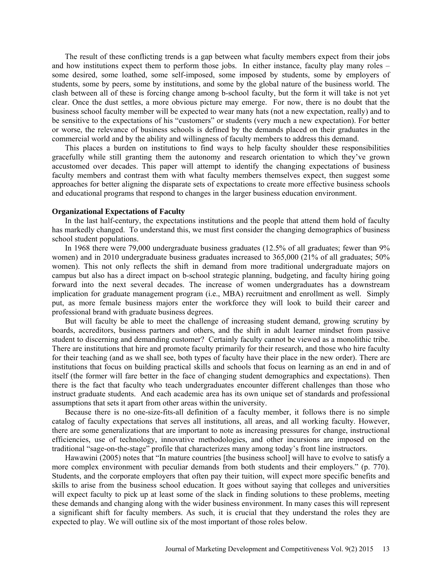The result of these conflicting trends is a gap between what faculty members expect from their jobs and how institutions expect them to perform those jobs. In either instance, faculty play many roles – some desired, some loathed, some self-imposed, some imposed by students, some by employers of students, some by peers, some by institutions, and some by the global nature of the business world. The clash between all of these is forcing change among b-school faculty, but the form it will take is not yet clear. Once the dust settles, a more obvious picture may emerge. For now, there is no doubt that the business school faculty member will be expected to wear many hats (not a new expectation, really) and to be sensitive to the expectations of his "customers" or students (very much a new expectation). For better or worse, the relevance of business schools is defined by the demands placed on their graduates in the commercial world and by the ability and willingness of faculty members to address this demand.

This places a burden on institutions to find ways to help faculty shoulder these responsibilities gracefully while still granting them the autonomy and research orientation to which they've grown accustomed over decades. This paper will attempt to identify the changing expectations of business faculty members and contrast them with what faculty members themselves expect, then suggest some approaches for better aligning the disparate sets of expectations to create more effective business schools and educational programs that respond to changes in the larger business education environment.

# **Organizational Expectations of Faculty**

In the last half-century, the expectations institutions and the people that attend them hold of faculty has markedly changed. To understand this, we must first consider the changing demographics of business school student populations.

In 1968 there were 79,000 undergraduate business graduates (12.5% of all graduates; fewer than 9% women) and in 2010 undergraduate business graduates increased to 365,000 (21% of all graduates; 50% women). This not only reflects the shift in demand from more traditional undergraduate majors on campus but also has a direct impact on b-school strategic planning, budgeting, and faculty hiring going forward into the next several decades. The increase of women undergraduates has a downstream implication for graduate management program (i.e., MBA) recruitment and enrollment as well. Simply put, as more female business majors enter the workforce they will look to build their career and professional brand with graduate business degrees.

But will faculty be able to meet the challenge of increasing student demand, growing scrutiny by boards, accreditors, business partners and others, and the shift in adult learner mindset from passive student to discerning and demanding customer? Certainly faculty cannot be viewed as a monolithic tribe. There are institutions that hire and promote faculty primarily for their research, and those who hire faculty for their teaching (and as we shall see, both types of faculty have their place in the new order). There are institutions that focus on building practical skills and schools that focus on learning as an end in and of itself (the former will fare better in the face of changing student demographics and expectations). Then there is the fact that faculty who teach undergraduates encounter different challenges than those who instruct graduate students. And each academic area has its own unique set of standards and professional assumptions that sets it apart from other areas within the university.

Because there is no one-size-fits-all definition of a faculty member, it follows there is no simple catalog of faculty expectations that serves all institutions, all areas, and all working faculty. However, there are some generalizations that are important to note as increasing pressures for change, instructional efficiencies, use of technology, innovative methodologies, and other incursions are imposed on the traditional "sage-on-the-stage" profile that characterizes many among today's front line instructors.

Hawawini (2005) notes that "In mature countries [the business school] will have to evolve to satisfy a more complex environment with peculiar demands from both students and their employers." (p. 770). Students, and the corporate employers that often pay their tuition, will expect more specific benefits and skills to arise from the business school education. It goes without saying that colleges and universities will expect faculty to pick up at least some of the slack in finding solutions to these problems, meeting these demands and changing along with the wider business environment. In many cases this will represent a significant shift for faculty members. As such, it is crucial that they understand the roles they are expected to play. We will outline six of the most important of those roles below.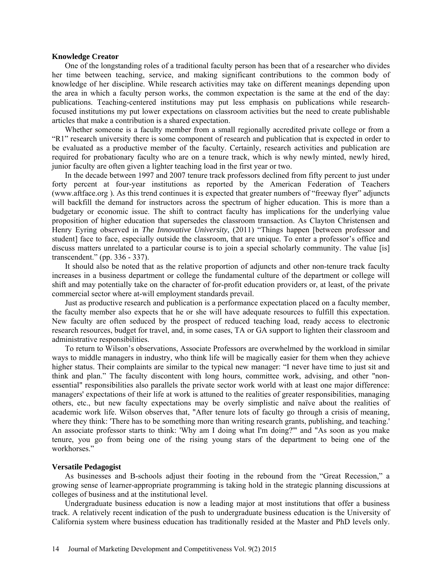# **Knowledge Creator**

One of the longstanding roles of a traditional faculty person has been that of a researcher who divides her time between teaching, service, and making significant contributions to the common body of knowledge of her discipline. While research activities may take on different meanings depending upon the area in which a faculty person works, the common expectation is the same at the end of the day: publications. Teaching-centered institutions may put less emphasis on publications while researchfocused institutions my put lower expectations on classroom activities but the need to create publishable articles that make a contribution is a shared expectation.

Whether someone is a faculty member from a small regionally accredited private college or from a "R1" research university there is some component of research and publication that is expected in order to be evaluated as a productive member of the faculty. Certainly, research activities and publication are required for probationary faculty who are on a tenure track, which is why newly minted, newly hired, junior faculty are often given a lighter teaching load in the first year or two.

In the decade between 1997 and 2007 tenure track professors declined from fifty percent to just under forty percent at four-year institutions as reported by the American Federation of Teachers [\(www.aftface.org](http://www.aftface.org/) ). As this trend continues it is expected that greater numbers of "freeway flyer" adjuncts will backfill the demand for instructors across the spectrum of higher education. This is more than a budgetary or economic issue. The shift to contract faculty has implications for the underlying value proposition of higher education that supersedes the classroom transaction. As Clayton Christensen and Henry Eyring observed in *The Innovative University*, (2011) "Things happen [between professor and student] face to face, especially outside the classroom, that are unique. To enter a professor's office and discuss matters unrelated to a particular course is to join a special scholarly community. The value [is] transcendent." (pp. 336 - 337).

It should also be noted that as the relative proportion of adjuncts and other non-tenure track faculty increases in a business department or college the fundamental culture of the department or college will shift and may potentially take on the character of for-profit education providers or, at least, of the private commercial sector where at-will employment standards prevail.

Just as productive research and publication is a performance expectation placed on a faculty member, the faculty member also expects that he or she will have adequate resources to fulfill this expectation. New faculty are often seduced by the prospect of reduced teaching load, ready access to electronic research resources, budget for travel, and, in some cases, TA or GA support to lighten their classroom and administrative responsibilities.

To return to Wilson's observations, Associate Professors are overwhelmed by the workload in similar ways to middle managers in industry, who think life will be magically easier for them when they achieve higher status. Their complaints are similar to the typical new manager: "I never have time to just sit and think and plan." The faculty discontent with long hours, committee work, advising, and other "nonessential" responsibilities also parallels the private sector work world with at least one major difference: managers' expectations of their life at work is attuned to the realities of greater responsibilities, managing others, etc., but new faculty expectations may be overly simplistic and naïve about the realities of academic work life. Wilson observes that, "After tenure lots of faculty go through a crisis of meaning, where they think: 'There has to be something more than writing research grants, publishing, and teaching.' An associate professor starts to think: 'Why am I doing what I'm doing?'" and "As soon as you make tenure, you go from being one of the rising young stars of the department to being one of the workhorses."

# **Versatile Pedagogist**

As businesses and B-schools adjust their footing in the rebound from the "Great Recession," a growing sense of learner-appropriate programming is taking hold in the strategic planning discussions at colleges of business and at the institutional level.

Undergraduate business education is now a leading major at most institutions that offer a business track. A relatively recent indication of the push to undergraduate business education is the University of California system where business education has traditionally resided at the Master and PhD levels only.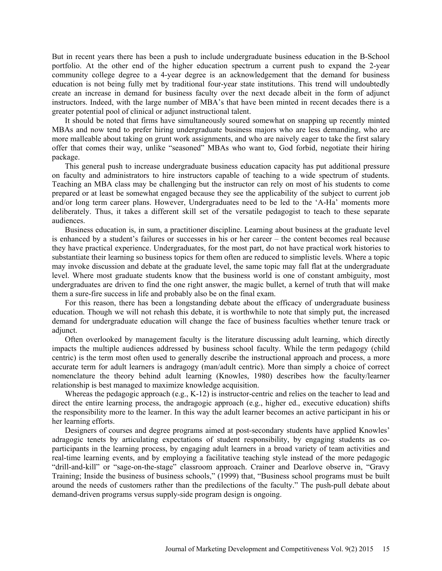But in recent years there has been a push to include undergraduate business education in the B-School portfolio. At the other end of the higher education spectrum a current push to expand the 2-year community college degree to a 4-year degree is an acknowledgement that the demand for business education is not being fully met by traditional four-year state institutions. This trend will undoubtedly create an increase in demand for business faculty over the next decade albeit in the form of adjunct instructors. Indeed, with the large number of MBA's that have been minted in recent decades there is a greater potential pool of clinical or adjunct instructional talent.

It should be noted that firms have simultaneously soured somewhat on snapping up recently minted MBAs and now tend to prefer hiring undergraduate business majors who are less demanding, who are more malleable about taking on grunt work assignments, and who are naively eager to take the first salary offer that comes their way, unlike "seasoned" MBAs who want to, God forbid, negotiate their hiring package.

This general push to increase undergraduate business education capacity has put additional pressure on faculty and administrators to hire instructors capable of teaching to a wide spectrum of students. Teaching an MBA class may be challenging but the instructor can rely on most of his students to come prepared or at least be somewhat engaged because they see the applicability of the subject to current job and/or long term career plans. However, Undergraduates need to be led to the 'A-Ha' moments more deliberately. Thus, it takes a different skill set of the versatile pedagogist to teach to these separate audiences.

Business education is, in sum, a practitioner discipline. Learning about business at the graduate level is enhanced by a student's failures or successes in his or her career – the content becomes real because they have practical experience. Undergraduates, for the most part, do not have practical work histories to substantiate their learning so business topics for them often are reduced to simplistic levels. Where a topic may invoke discussion and debate at the graduate level, the same topic may fall flat at the undergraduate level. Where most graduate students know that the business world is one of constant ambiguity, most undergraduates are driven to find the one right answer, the magic bullet, a kernel of truth that will make them a sure-fire success in life and probably also be on the final exam.

For this reason, there has been a longstanding debate about the efficacy of undergraduate business education. Though we will not rehash this debate, it is worthwhile to note that simply put, the increased demand for undergraduate education will change the face of business faculties whether tenure track or adjunct.

Often overlooked by management faculty is the literature discussing adult learning, which directly impacts the multiple audiences addressed by business school faculty. While the term pedagogy (child centric) is the term most often used to generally describe the instructional approach and process, a more accurate term for adult learners is andragogy (man/adult centric). More than simply a choice of correct nomenclature the theory behind adult learning (Knowles, 1980) describes how the faculty/learner relationship is best managed to maximize knowledge acquisition.

Whereas the pedagogic approach (e.g.,  $K-12$ ) is instructor-centric and relies on the teacher to lead and direct the entire learning process, the andragogic approach (e.g., higher ed., executive education) shifts the responsibility more to the learner. In this way the adult learner becomes an active participant in his or her learning efforts.

Designers of courses and degree programs aimed at post-secondary students have applied Knowles' adragogic tenets by articulating expectations of student responsibility, by engaging students as coparticipants in the learning process, by engaging adult learners in a broad variety of team activities and real-time learning events, and by employing a facilitative teaching style instead of the more pedagogic "drill-and-kill" or "sage-on-the-stage" classroom approach. Crainer and Dearlove observe in, "Gravy Training; Inside the business of business schools," (1999) that, "Business school programs must be built around the needs of customers rather than the predilections of the faculty." The push-pull debate about demand-driven programs versus supply-side program design is ongoing.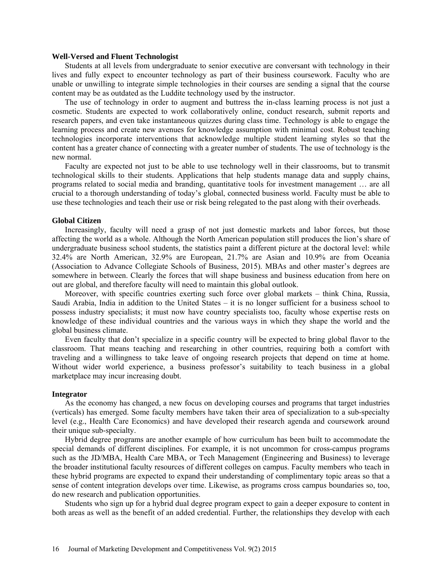# **Well-Versed and Fluent Technologist**

Students at all levels from undergraduate to senior executive are conversant with technology in their lives and fully expect to encounter technology as part of their business coursework. Faculty who are unable or unwilling to integrate simple technologies in their courses are sending a signal that the course content may be as outdated as the Luddite technology used by the instructor.

The use of technology in order to augment and buttress the in-class learning process is not just a cosmetic. Students are expected to work collaboratively online, conduct research, submit reports and research papers, and even take instantaneous quizzes during class time. Technology is able to engage the learning process and create new avenues for knowledge assumption with minimal cost. Robust teaching technologies incorporate interventions that acknowledge multiple student learning styles so that the content has a greater chance of connecting with a greater number of students. The use of technology is the new normal.

Faculty are expected not just to be able to use technology well in their classrooms, but to transmit technological skills to their students. Applications that help students manage data and supply chains, programs related to social media and branding, quantitative tools for investment management … are all crucial to a thorough understanding of today's global, connected business world. Faculty must be able to use these technologies and teach their use or risk being relegated to the past along with their overheads.

### **Global Citizen**

Increasingly, faculty will need a grasp of not just domestic markets and labor forces, but those affecting the world as a whole. Although the North American population still produces the lion's share of undergraduate business school students, the statistics paint a different picture at the doctoral level: while 32.4% are North American, 32.9% are European, 21.7% are Asian and 10.9% are from Oceania (Association to Advance Collegiate Schools of Business, 2015). MBAs and other master's degrees are somewhere in between. Clearly the forces that will shape business and business education from here on out are global, and therefore faculty will need to maintain this global outlook.

Moreover, with specific countries exerting such force over global markets – think China, Russia, Saudi Arabia, India in addition to the United States – it is no longer sufficient for a business school to possess industry specialists; it must now have country specialists too, faculty whose expertise rests on knowledge of these individual countries and the various ways in which they shape the world and the global business climate.

Even faculty that don't specialize in a specific country will be expected to bring global flavor to the classroom. That means teaching and researching in other countries, requiring both a comfort with traveling and a willingness to take leave of ongoing research projects that depend on time at home. Without wider world experience, a business professor's suitability to teach business in a global marketplace may incur increasing doubt.

# **Integrator**

As the economy has changed, a new focus on developing courses and programs that target industries (verticals) has emerged. Some faculty members have taken their area of specialization to a sub-specialty level (e.g., Health Care Economics) and have developed their research agenda and coursework around their unique sub-specialty.

Hybrid degree programs are another example of how curriculum has been built to accommodate the special demands of different disciplines. For example, it is not uncommon for cross-campus programs such as the JD/MBA, Health Care MBA, or Tech Management (Engineering and Business) to leverage the broader institutional faculty resources of different colleges on campus. Faculty members who teach in these hybrid programs are expected to expand their understanding of complimentary topic areas so that a sense of content integration develops over time. Likewise, as programs cross campus boundaries so, too, do new research and publication opportunities.

Students who sign up for a hybrid dual degree program expect to gain a deeper exposure to content in both areas as well as the benefit of an added credential. Further, the relationships they develop with each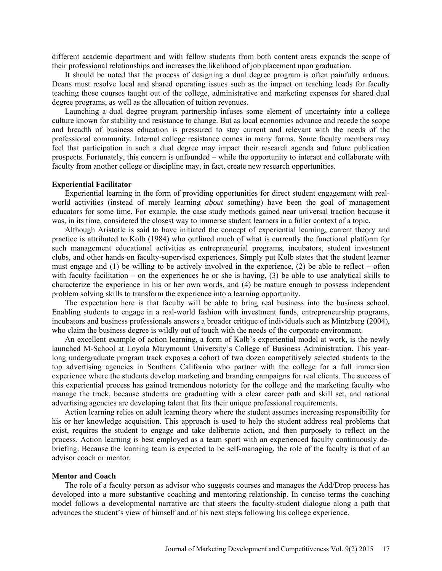different academic department and with fellow students from both content areas expands the scope of their professional relationships and increases the likelihood of job placement upon graduation.

It should be noted that the process of designing a dual degree program is often painfully arduous. Deans must resolve local and shared operating issues such as the impact on teaching loads for faculty teaching those courses taught out of the college, administrative and marketing expenses for shared dual degree programs, as well as the allocation of tuition revenues.

Launching a dual degree program partnership infuses some element of uncertainty into a college culture known for stability and resistance to change. But as local economies advance and recede the scope and breadth of business education is pressured to stay current and relevant with the needs of the professional community. Internal college resistance comes in many forms. Some faculty members may feel that participation in such a dual degree may impact their research agenda and future publication prospects. Fortunately, this concern is unfounded – while the opportunity to interact and collaborate with faculty from another college or discipline may, in fact, create new research opportunities.

# **Experiential Facilitator**

Experiential learning in the form of providing opportunities for direct student engagement with realworld activities (instead of merely learning *about* something) have been the goal of management educators for some time. For example, the case study methods gained near universal traction because it was, in its time, considered the closest way to immerse student learners in a fuller context of a topic.

Although Aristotle is said to have initiated the concept of experiential learning, current theory and practice is attributed to Kolb (1984) who outlined much of what is currently the functional platform for such management educational activities as entrepreneurial programs, incubators, student investment clubs, and other hands-on faculty-supervised experiences. Simply put Kolb states that the student learner must engage and (1) be willing to be actively involved in the experience, (2) be able to reflect – often with faculty facilitation – on the experiences he or she is having, (3) be able to use analytical skills to characterize the experience in his or her own words, and (4) be mature enough to possess independent problem solving skills to transform the experience into a learning opportunity.

The expectation here is that faculty will be able to bring real business into the business school. Enabling students to engage in a real-world fashion with investment funds, entrepreneurship programs, incubators and business professionals answers a broader critique of individuals such as Mintzberg (2004), who claim the business degree is wildly out of touch with the needs of the corporate environment.

An excellent example of action learning, a form of Kolb's experiential model at work, is the newly launched M-School at Loyola Marymount University's College of Business Administration. This yearlong undergraduate program track exposes a cohort of two dozen competitively selected students to the top advertising agencies in Southern California who partner with the college for a full immersion experience where the students develop marketing and branding campaigns for real clients. The success of this experiential process has gained tremendous notoriety for the college and the marketing faculty who manage the track, because students are graduating with a clear career path and skill set, and national advertising agencies are developing talent that fits their unique professional requirements.

Action learning relies on adult learning theory where the student assumes increasing responsibility for his or her knowledge acquisition. This approach is used to help the student address real problems that exist, requires the student to engage and take deliberate action, and then purposely to reflect on the process. Action learning is best employed as a team sport with an experienced faculty continuously debriefing. Because the learning team is expected to be self-managing, the role of the faculty is that of an advisor coach or mentor.

#### **Mentor and Coach**

The role of a faculty person as advisor who suggests courses and manages the Add/Drop process has developed into a more substantive coaching and mentoring relationship. In concise terms the coaching model follows a developmental narrative arc that steers the faculty-student dialogue along a path that advances the student's view of himself and of his next steps following his college experience.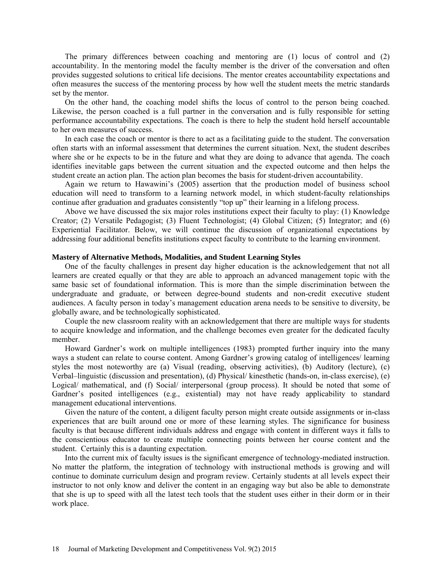The primary differences between coaching and mentoring are (1) locus of control and (2) accountability. In the mentoring model the faculty member is the driver of the conversation and often provides suggested solutions to critical life decisions. The mentor creates accountability expectations and often measures the success of the mentoring process by how well the student meets the metric standards set by the mentor.

On the other hand, the coaching model shifts the locus of control to the person being coached. Likewise, the person coached is a full partner in the conversation and is fully responsible for setting performance accountability expectations. The coach is there to help the student hold herself accountable to her own measures of success.

In each case the coach or mentor is there to act as a facilitating guide to the student. The conversation often starts with an informal assessment that determines the current situation. Next, the student describes where she or he expects to be in the future and what they are doing to advance that agenda. The coach identifies inevitable gaps between the current situation and the expected outcome and then helps the student create an action plan. The action plan becomes the basis for student-driven accountability.

Again we return to Hawawini's (2005) assertion that the production model of business school education will need to transform to a learning network model, in which student-faculty relationships continue after graduation and graduates consistently "top up" their learning in a lifelong process.

Above we have discussed the six major roles institutions expect their faculty to play: (1) Knowledge Creator; (2) Versatile Pedagogist; (3) Fluent Technologist; (4) Global Citizen; (5) Integrator; and (6) Experiential Facilitator. Below, we will continue the discussion of organizational expectations by addressing four additional benefits institutions expect faculty to contribute to the learning environment.

# **Mastery of Alternative Methods, Modalities, and Student Learning Styles**

One of the faculty challenges in present day higher education is the acknowledgement that not all learners are created equally or that they are able to approach an advanced management topic with the same basic set of foundational information. This is more than the simple discrimination between the undergraduate and graduate, or between degree-bound students and non-credit executive student audiences. A faculty person in today's management education arena needs to be sensitive to diversity, be globally aware, and be technologically sophisticated.

Couple the new classroom reality with an acknowledgement that there are multiple ways for students to acquire knowledge and information, and the challenge becomes even greater for the dedicated faculty member.

Howard Gardner's work on multiple intelligences (1983) prompted further inquiry into the many ways a student can relate to course content. Among Gardner's growing catalog of intelligences/ learning styles the most noteworthy are (a) Visual (reading, observing activities), (b) Auditory (lecture), (c) Verbal–linguistic (discussion and presentation), (d) Physical/ kinesthetic (hands-on, in-class exercise), (e) Logical/ mathematical, and (f) Social/ interpersonal (group process). It should be noted that some of Gardner's posited intelligences (e.g., existential) may not have ready applicability to standard management educational interventions.

Given the nature of the content, a diligent faculty person might create outside assignments or in-class experiences that are built around one or more of these learning styles. The significance for business faculty is that because different individuals address and engage with content in different ways it falls to the conscientious educator to create multiple connecting points between her course content and the student. Certainly this is a daunting expectation.

Into the current mix of faculty issues is the significant emergence of technology-mediated instruction. No matter the platform, the integration of technology with instructional methods is growing and will continue to dominate curriculum design and program review. Certainly students at all levels expect their instructor to not only know and deliver the content in an engaging way but also be able to demonstrate that she is up to speed with all the latest tech tools that the student uses either in their dorm or in their work place.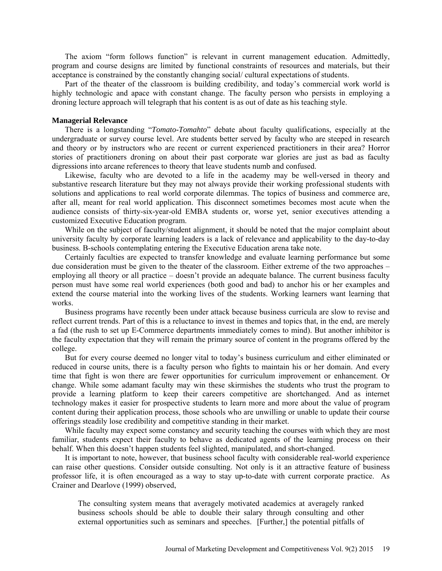The axiom "form follows function" is relevant in current management education. Admittedly, program and course designs are limited by functional constraints of resources and materials, but their acceptance is constrained by the constantly changing social/ cultural expectations of students.

Part of the theater of the classroom is building credibility, and today's commercial work world is highly technologic and apace with constant change. The faculty person who persists in employing a droning lecture approach will telegraph that his content is as out of date as his teaching style.

#### **Managerial Relevance**

There is a longstanding "*Tomato-Tomahto*" debate about faculty qualifications, especially at the undergraduate or survey course level. Are students better served by faculty who are steeped in research and theory or by instructors who are recent or current experienced practitioners in their area? Horror stories of practitioners droning on about their past corporate war glories are just as bad as faculty digressions into arcane references to theory that leave students numb and confused.

Likewise, faculty who are devoted to a life in the academy may be well-versed in theory and substantive research literature but they may not always provide their working professional students with solutions and applications to real world corporate dilemmas. The topics of business and commerce are, after all, meant for real world application. This disconnect sometimes becomes most acute when the audience consists of thirty-six-year-old EMBA students or, worse yet, senior executives attending a customized Executive Education program.

While on the subject of faculty/student alignment, it should be noted that the major complaint about university faculty by corporate learning leaders is a lack of relevance and applicability to the day-to-day business. B-schools contemplating entering the Executive Education arena take note.

Certainly faculties are expected to transfer knowledge and evaluate learning performance but some due consideration must be given to the theater of the classroom. Either extreme of the two approaches – employing all theory or all practice – doesn't provide an adequate balance. The current business faculty person must have some real world experiences (both good and bad) to anchor his or her examples and extend the course material into the working lives of the students. Working learners want learning that works.

Business programs have recently been under attack because business curricula are slow to revise and reflect current trends. Part of this is a reluctance to invest in themes and topics that, in the end, are merely a fad (the rush to set up E-Commerce departments immediately comes to mind). But another inhibitor is the faculty expectation that they will remain the primary source of content in the programs offered by the college.

But for every course deemed no longer vital to today's business curriculum and either eliminated or reduced in course units, there is a faculty person who fights to maintain his or her domain. And every time that fight is won there are fewer opportunities for curriculum improvement or enhancement. Or change. While some adamant faculty may win these skirmishes the students who trust the program to provide a learning platform to keep their careers competitive are shortchanged. And as internet technology makes it easier for prospective students to learn more and more about the value of program content during their application process, those schools who are unwilling or unable to update their course offerings steadily lose credibility and competitive standing in their market.

While faculty may expect some constancy and security teaching the courses with which they are most familiar, students expect their faculty to behave as dedicated agents of the learning process on their behalf. When this doesn't happen students feel slighted, manipulated, and short-changed.

It is important to note, however, that business school faculty with considerable real-world experience can raise other questions. Consider outside consulting. Not only is it an attractive feature of business professor life, it is often encouraged as a way to stay up-to-date with current corporate practice. As Crainer and Dearlove (1999) observed,

The consulting system means that averagely motivated academics at averagely ranked business schools should be able to double their salary through consulting and other external opportunities such as seminars and speeches. [Further,] the potential pitfalls of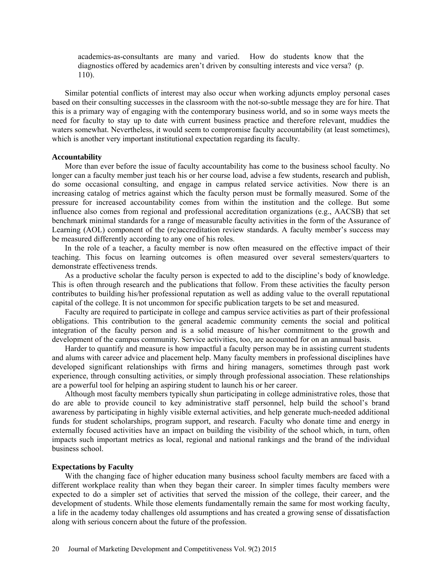academics-as-consultants are many and varied. How do students know that the diagnostics offered by academics aren't driven by consulting interests and vice versa? (p. 110).

Similar potential conflicts of interest may also occur when working adjuncts employ personal cases based on their consulting successes in the classroom with the not-so-subtle message they are for hire. That this is a primary way of engaging with the contemporary business world, and so in some ways meets the need for faculty to stay up to date with current business practice and therefore relevant, muddies the waters somewhat. Nevertheless, it would seem to compromise faculty accountability (at least sometimes), which is another very important institutional expectation regarding its faculty.

# **Accountability**

More than ever before the issue of faculty accountability has come to the business school faculty. No longer can a faculty member just teach his or her course load, advise a few students, research and publish, do some occasional consulting, and engage in campus related service activities. Now there is an increasing catalog of metrics against which the faculty person must be formally measured. Some of the pressure for increased accountability comes from within the institution and the college. But some influence also comes from regional and professional accreditation organizations (e.g., AACSB) that set benchmark minimal standards for a range of measurable faculty activities in the form of the Assurance of Learning (AOL) component of the (re)accreditation review standards. A faculty member's success may be measured differently according to any one of his roles.

In the role of a teacher, a faculty member is now often measured on the effective impact of their teaching. This focus on learning outcomes is often measured over several semesters/quarters to demonstrate effectiveness trends.

As a productive scholar the faculty person is expected to add to the discipline's body of knowledge. This is often through research and the publications that follow. From these activities the faculty person contributes to building his/her professional reputation as well as adding value to the overall reputational capital of the college. It is not uncommon for specific publication targets to be set and measured.

Faculty are required to participate in college and campus service activities as part of their professional obligations. This contribution to the general academic community cements the social and political integration of the faculty person and is a solid measure of his/her commitment to the growth and development of the campus community. Service activities, too, are accounted for on an annual basis.

Harder to quantify and measure is how impactful a faculty person may be in assisting current students and alums with career advice and placement help. Many faculty members in professional disciplines have developed significant relationships with firms and hiring managers, sometimes through past work experience, through consulting activities, or simply through professional association. These relationships are a powerful tool for helping an aspiring student to launch his or her career.

Although most faculty members typically shun participating in college administrative roles, those that do are able to provide council to key administrative staff personnel, help build the school's brand awareness by participating in highly visible external activities, and help generate much-needed additional funds for student scholarships, program support, and research. Faculty who donate time and energy in externally focused activities have an impact on building the visibility of the school which, in turn, often impacts such important metrics as local, regional and national rankings and the brand of the individual business school.

# **Expectations by Faculty**

With the changing face of higher education many business school faculty members are faced with a different workplace reality than when they began their career. In simpler times faculty members were expected to do a simpler set of activities that served the mission of the college, their career, and the development of students. While those elements fundamentally remain the same for most working faculty, a life in the academy today challenges old assumptions and has created a growing sense of dissatisfaction along with serious concern about the future of the profession.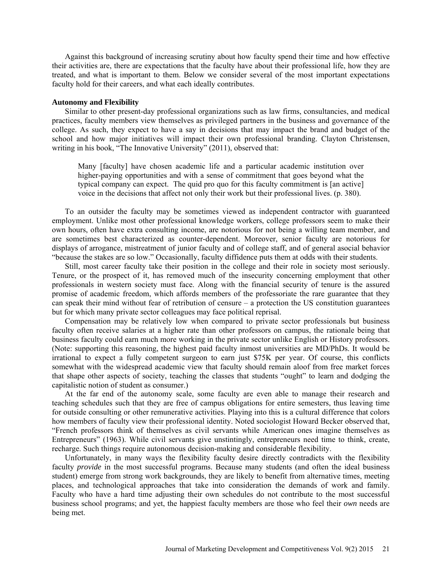Against this background of increasing scrutiny about how faculty spend their time and how effective their activities are, there are expectations that the faculty have about their professional life, how they are treated, and what is important to them. Below we consider several of the most important expectations faculty hold for their careers, and what each ideally contributes.

#### **Autonomy and Flexibility**

Similar to other present-day professional organizations such as law firms, consultancies, and medical practices, faculty members view themselves as privileged partners in the business and governance of the college. As such, they expect to have a say in decisions that may impact the brand and budget of the school and how major initiatives will impact their own professional branding. Clayton Christensen, writing in his book, "The Innovative University" (2011), observed that:

Many [faculty] have chosen academic life and a particular academic institution over higher-paying opportunities and with a sense of commitment that goes beyond what the typical company can expect. The quid pro quo for this faculty commitment is [an active] voice in the decisions that affect not only their work but their professional lives. (p. 380).

To an outsider the faculty may be sometimes viewed as independent contractor with guaranteed employment. Unlike most other professional knowledge workers, college professors seem to make their own hours, often have extra consulting income, are notorious for not being a willing team member, and are sometimes best characterized as counter-dependent. Moreover, senior faculty are notorious for displays of arrogance, mistreatment of junior faculty and of college staff, and of general asocial behavior "because the stakes are so low." Occasionally, faculty diffidence puts them at odds with their students.

Still, most career faculty take their position in the college and their role in society most seriously. Tenure, or the prospect of it, has removed much of the insecurity concerning employment that other professionals in western society must face. Along with the financial security of tenure is the assured promise of academic freedom, which affords members of the professoriate the rare guarantee that they can speak their mind without fear of retribution of censure – a protection the US constitution guarantees but for which many private sector colleagues may face political reprisal.

Compensation may be relatively low when compared to private sector professionals but business faculty often receive salaries at a higher rate than other professors on campus, the rationale being that business faculty could earn much more working in the private sector unlike English or History professors. (Note: supporting this reasoning, the highest paid faculty inmost universities are MD/PhDs. It would be irrational to expect a fully competent surgeon to earn just \$75K per year. Of course, this conflicts somewhat with the widespread academic view that faculty should remain aloof from free market forces that shape other aspects of society, teaching the classes that students "ought" to learn and dodging the capitalistic notion of student as consumer.)

At the far end of the autonomy scale, some faculty are even able to manage their research and teaching schedules such that they are free of campus obligations for entire semesters, thus leaving time for outside consulting or other remunerative activities. Playing into this is a cultural difference that colors how members of faculty view their professional identity. Noted sociologist Howard Becker observed that, "French professors think of themselves as civil servants while American ones imagine themselves as Entrepreneurs" (1963). While civil servants give unstintingly, entrepreneurs need time to think, create, recharge. Such things require autonomous decision-making and considerable flexibility.

Unfortunately, in many ways the flexibility faculty desire directly contradicts with the flexibility faculty *provide* in the most successful programs. Because many students (and often the ideal business student) emerge from strong work backgrounds, they are likely to benefit from alternative times, meeting places, and technological approaches that take into consideration the demands of work and family. Faculty who have a hard time adjusting their own schedules do not contribute to the most successful business school programs; and yet, the happiest faculty members are those who feel their *own* needs are being met.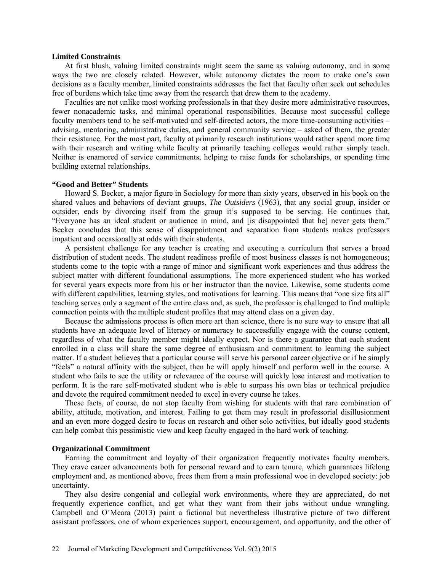### **Limited Constraints**

At first blush, valuing limited constraints might seem the same as valuing autonomy, and in some ways the two are closely related. However, while autonomy dictates the room to make one's own decisions as a faculty member, limited constraints addresses the fact that faculty often seek out schedules free of burdens which take time away from the research that drew them to the academy.

Faculties are not unlike most working professionals in that they desire more administrative resources, fewer nonacademic tasks, and minimal operational responsibilities. Because most successful college faculty members tend to be self-motivated and self-directed actors, the more time-consuming activities – advising, mentoring, administrative duties, and general community service – asked of them, the greater their resistance. For the most part, faculty at primarily research institutions would rather spend more time with their research and writing while faculty at primarily teaching colleges would rather simply teach. Neither is enamored of service commitments, helping to raise funds for scholarships, or spending time building external relationships.

#### **"Good and Better" Students**

Howard S. Becker, a major figure in Sociology for more than sixty years, observed in his book on the shared values and behaviors of deviant groups, *The Outsiders* (1963), that any social group, insider or outsider, ends by divorcing itself from the group it's supposed to be serving. He continues that, "Everyone has an ideal student or audience in mind, and [is disappointed that he] never gets them." Becker concludes that this sense of disappointment and separation from students makes professors impatient and occasionally at odds with their students.

A persistent challenge for any teacher is creating and executing a curriculum that serves a broad distribution of student needs. The student readiness profile of most business classes is not homogeneous; students come to the topic with a range of minor and significant work experiences and thus address the subject matter with different foundational assumptions. The more experienced student who has worked for several years expects more from his or her instructor than the novice. Likewise, some students come with different capabilities, learning styles, and motivations for learning. This means that "one size fits all" teaching serves only a segment of the entire class and, as such, the professor is challenged to find multiple connection points with the multiple student profiles that may attend class on a given day.

Because the admissions process is often more art than science, there is no sure way to ensure that all students have an adequate level of literacy or numeracy to successfully engage with the course content, regardless of what the faculty member might ideally expect. Nor is there a guarantee that each student enrolled in a class will share the same degree of enthusiasm and commitment to learning the subject matter. If a student believes that a particular course will serve his personal career objective or if he simply "feels" a natural affinity with the subject, then he will apply himself and perform well in the course. A student who fails to see the utility or relevance of the course will quickly lose interest and motivation to perform. It is the rare self-motivated student who is able to surpass his own bias or technical prejudice and devote the required commitment needed to excel in every course he takes.

These facts, of course, do not stop faculty from wishing for students with that rare combination of ability, attitude, motivation, and interest. Failing to get them may result in professorial disillusionment and an even more dogged desire to focus on research and other solo activities, but ideally good students can help combat this pessimistic view and keep faculty engaged in the hard work of teaching.

#### **Organizational Commitment**

Earning the commitment and loyalty of their organization frequently motivates faculty members. They crave career advancements both for personal reward and to earn tenure, which guarantees lifelong employment and, as mentioned above, frees them from a main professional woe in developed society: job uncertainty.

They also desire congenial and collegial work environments, where they are appreciated, do not frequently experience conflict, and get what they want from their jobs without undue wrangling. Campbell and O'Meara (2013) paint a fictional but nevertheless illustrative picture of two different assistant professors, one of whom experiences support, encouragement, and opportunity, and the other of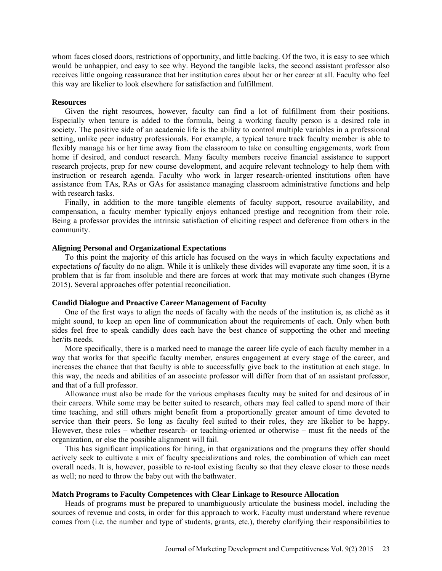whom faces closed doors, restrictions of opportunity, and little backing. Of the two, it is easy to see which would be unhappier, and easy to see why. Beyond the tangible lacks, the second assistant professor also receives little ongoing reassurance that her institution cares about her or her career at all. Faculty who feel this way are likelier to look elsewhere for satisfaction and fulfillment.

# **Resources**

Given the right resources, however, faculty can find a lot of fulfillment from their positions. Especially when tenure is added to the formula, being a working faculty person is a desired role in society. The positive side of an academic life is the ability to control multiple variables in a professional setting, unlike peer industry professionals. For example, a typical tenure track faculty member is able to flexibly manage his or her time away from the classroom to take on consulting engagements, work from home if desired, and conduct research. Many faculty members receive financial assistance to support research projects, prep for new course development, and acquire relevant technology to help them with instruction or research agenda. Faculty who work in larger research-oriented institutions often have assistance from TAs, RAs or GAs for assistance managing classroom administrative functions and help with research tasks.

Finally, in addition to the more tangible elements of faculty support, resource availability, and compensation, a faculty member typically enjoys enhanced prestige and recognition from their role. Being a professor provides the intrinsic satisfaction of eliciting respect and deference from others in the community.

# **Aligning Personal and Organizational Expectations**

To this point the majority of this article has focused on the ways in which faculty expectations and expectations *of* faculty do no align. While it is unlikely these divides will evaporate any time soon, it is a problem that is far from insoluble and there are forces at work that may motivate such changes (Byrne 2015). Several approaches offer potential reconciliation.

# **Candid Dialogue and Proactive Career Management of Faculty**

One of the first ways to align the needs of faculty with the needs of the institution is, as cliché as it might sound, to keep an open line of communication about the requirements of each. Only when both sides feel free to speak candidly does each have the best chance of supporting the other and meeting her/its needs.

More specifically, there is a marked need to manage the career life cycle of each faculty member in a way that works for that specific faculty member, ensures engagement at every stage of the career, and increases the chance that that faculty is able to successfully give back to the institution at each stage. In this way, the needs and abilities of an associate professor will differ from that of an assistant professor, and that of a full professor.

Allowance must also be made for the various emphases faculty may be suited for and desirous of in their careers. While some may be better suited to research, others may feel called to spend more of their time teaching, and still others might benefit from a proportionally greater amount of time devoted to service than their peers. So long as faculty feel suited to their roles, they are likelier to be happy. However, these roles – whether research- or teaching-oriented or otherwise – must fit the needs of the organization, or else the possible alignment will fail.

This has significant implications for hiring, in that organizations and the programs they offer should actively seek to cultivate a mix of faculty specializations and roles, the combination of which can meet overall needs. It is, however, possible to re-tool existing faculty so that they cleave closer to those needs as well; no need to throw the baby out with the bathwater.

# **Match Programs to Faculty Competences with Clear Linkage to Resource Allocation**

Heads of programs must be prepared to unambiguously articulate the business model, including the sources of revenue and costs, in order for this approach to work. Faculty must understand where revenue comes from (i.e. the number and type of students, grants, etc.), thereby clarifying their responsibilities to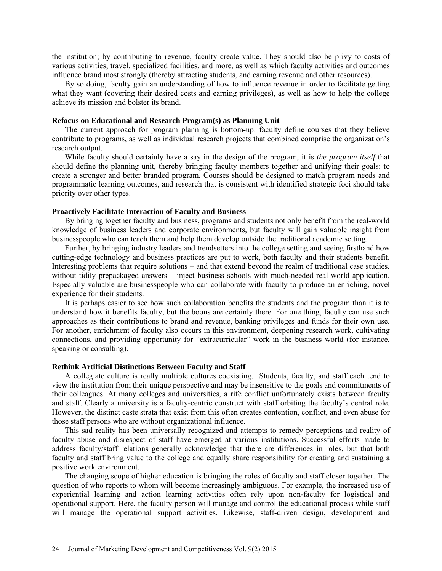the institution; by contributing to revenue, faculty create value. They should also be privy to costs of various activities, travel, specialized facilities, and more, as well as which faculty activities and outcomes influence brand most strongly (thereby attracting students, and earning revenue and other resources).

By so doing, faculty gain an understanding of how to influence revenue in order to facilitate getting what they want (covering their desired costs and earning privileges), as well as how to help the college achieve its mission and bolster its brand.

# **Refocus on Educational and Research Program(s) as Planning Unit**

The current approach for program planning is bottom-up: faculty define courses that they believe contribute to programs, as well as individual research projects that combined comprise the organization's research output.

While faculty should certainly have a say in the design of the program, it is *the program itself* that should define the planning unit, thereby bringing faculty members together and unifying their goals: to create a stronger and better branded program. Courses should be designed to match program needs and programmatic learning outcomes, and research that is consistent with identified strategic foci should take priority over other types.

### **Proactively Facilitate Interaction of Faculty and Business**

By bringing together faculty and business, programs and students not only benefit from the real-world knowledge of business leaders and corporate environments, but faculty will gain valuable insight from businesspeople who can teach them and help them develop outside the traditional academic setting.

Further, by bringing industry leaders and trendsetters into the college setting and seeing firsthand how cutting-edge technology and business practices are put to work, both faculty and their students benefit. Interesting problems that require solutions – and that extend beyond the realm of traditional case studies, without tidily prepackaged answers – inject business schools with much-needed real world application. Especially valuable are businesspeople who can collaborate with faculty to produce an enriching, novel experience for their students.

It is perhaps easier to see how such collaboration benefits the students and the program than it is to understand how it benefits faculty, but the boons are certainly there. For one thing, faculty can use such approaches as their contributions to brand and revenue, banking privileges and funds for their own use. For another, enrichment of faculty also occurs in this environment, deepening research work, cultivating connections, and providing opportunity for "extracurricular" work in the business world (for instance, speaking or consulting).

# **Rethink Artificial Distinctions Between Faculty and Staff**

A collegiate culture is really multiple cultures coexisting. Students, faculty, and staff each tend to view the institution from their unique perspective and may be insensitive to the goals and commitments of their colleagues. At many colleges and universities, a rife conflict unfortunately exists between faculty and staff. Clearly a university is a faculty-centric construct with staff orbiting the faculty's central role. However, the distinct caste strata that exist from this often creates contention, conflict, and even abuse for those staff persons who are without organizational influence.

This sad reality has been universally recognized and attempts to remedy perceptions and reality of faculty abuse and disrespect of staff have emerged at various institutions. Successful efforts made to address faculty/staff relations generally acknowledge that there are differences in roles, but that both faculty and staff bring value to the college and equally share responsibility for creating and sustaining a positive work environment.

The changing scope of higher education is bringing the roles of faculty and staff closer together. The question of who reports to whom will become increasingly ambiguous. For example, the increased use of experiential learning and action learning activities often rely upon non-faculty for logistical and operational support. Here, the faculty person will manage and control the educational process while staff will manage the operational support activities. Likewise, staff-driven design, development and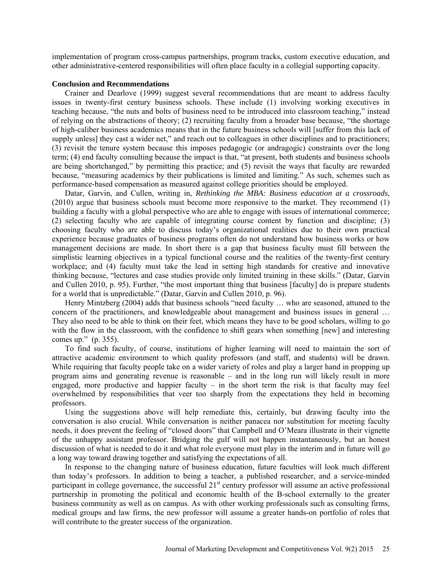implementation of program cross-campus partnerships, program tracks, custom executive education, and other administrative-centered responsibilities will often place faculty in a collegial supporting capacity.

#### **Conclusion and Recommendations**

Crainer and Dearlove (1999) suggest several recommendations that are meant to address faculty issues in twenty-first century business schools. These include (1) involving working executives in teaching because, "the nuts and bolts of business need to be introduced into classroom teaching," instead of relying on the abstractions of theory; (2) recruiting faculty from a broader base because, "the shortage of high-caliber business academics means that in the future business schools will [suffer from this lack of supply unless] they cast a wider net," and reach out to colleagues in other disciplines and to practitioners; (3) revisit the tenure system because this imposes pedagogic (or andragogic) constraints over the long term; (4) end faculty consulting because the impact is that, "at present, both students and business schools are being shortchanged," by permitting this practice; and (5) revisit the ways that faculty are rewarded because, "measuring academics by their publications is limited and limiting." As such, schemes such as performance-based compensation as measured against college priorities should be employed.

Datar, Garvin, and Cullen, writing in, *Rethinking the MBA: Business education at a crossroads*, (2010) argue that business schools must become more responsive to the market. They recommend (1) building a faculty with a global perspective who are able to engage with issues of international commerce; (2) selecting faculty who are capable of integrating course content by function and discipline; (3) choosing faculty who are able to discuss today's organizational realities due to their own practical experience because graduates of business programs often do not understand how business works or how management decisions are made. In short there is a gap that business faculty must fill between the simplistic learning objectives in a typical functional course and the realities of the twenty-first century workplace; and (4) faculty must take the lead in setting high standards for creative and innovative thinking because, "lectures and case studies provide only limited training in these skills." (Datar, Garvin and Cullen 2010, p. 95). Further, "the most important thing that business [faculty] do is prepare students for a world that is unpredictable." (Datar, Garvin and Cullen 2010, p. 96).

Henry Mintzberg (2004) adds that business schools "need faculty … who are seasoned, attuned to the concern of the practitioners, and knowledgeable about management and business issues in general … They also need to be able to think on their feet, which means they have to be good scholars, willing to go with the flow in the classroom, with the confidence to shift gears when something [new] and interesting comes up." (p. 355).

To find such faculty, of course, institutions of higher learning will need to maintain the sort of attractive academic environment to which quality professors (and staff, and students) will be drawn. While requiring that faculty people take on a wider variety of roles and play a larger hand in propping up program aims and generating revenue is reasonable – and in the long run will likely result in more engaged, more productive and happier faculty – in the short term the risk is that faculty may feel overwhelmed by responsibilities that veer too sharply from the expectations they held in becoming professors.

Using the suggestions above will help remediate this, certainly, but drawing faculty into the conversation is also crucial. While conversation is neither panacea nor substitution for meeting faculty needs, it does prevent the feeling of "closed doors" that Campbell and O'Meara illustrate in their vignette of the unhappy assistant professor. Bridging the gulf will not happen instantaneously, but an honest discussion of what is needed to do it and what role everyone must play in the interim and in future will go a long way toward drawing together and satisfying the expectations of all.

In response to the changing nature of business education, future faculties will look much different than today's professors. In addition to being a teacher, a published researcher, and a service-minded participant in college governance, the successful  $21<sup>st</sup>$  century professor will assume an active professional partnership in promoting the political and economic health of the B-school externally to the greater business community as well as on campus. As with other working professionals such as consulting firms, medical groups and law firms, the new professor will assume a greater hands-on portfolio of roles that will contribute to the greater success of the organization.